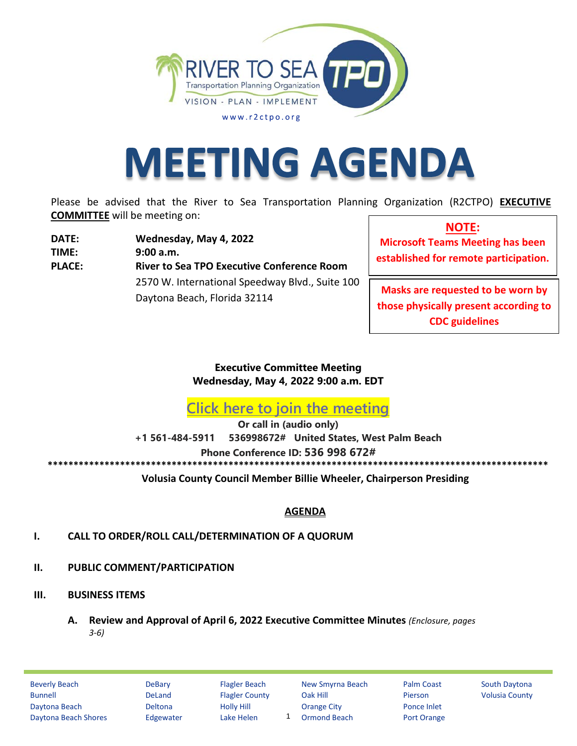

# **MEETING AGENDA**

Please be advised that the River to Sea Transportation Planning Organization (R2CTPO) **EXECUTIVE COMMITTEE** will be meeting on:

**DATE: Wednesday, May 4, 2022 TIME: 9:00 a.m. PLACE: River to Sea TPO Ex ecutive Conference Room** 2570 W. International Speedway Blvd., Suite 100 Daytona Beach, Florida 32114

**NOTE: Microsoft Teams Meeting has been established for remote participation.**

**Masks are requested to be worn by those physically present according to CDC guidelines**

**Executive Committee Meeting Wednesday, May 4, 2022 9:00 a.m. EDT** 

**[Click here to join the meeting](https://teams.microsoft.com/l/meetup-join/19%3ameeting_Y2E4ZGRiYzUtOGQ0Yi00ZWUwLTg3YjMtYjk5Y2I3ZTQ1YzA4%40thread.v2/0?context=%7b%22Tid%22%3a%22d5f4bfa4-fe50-42f9-af2c-96701c15da1c%22%2c%22Oid%22%3a%22d51a8b9b-dd47-4eff-a5f0-25a5d28255cd%22%7d)**

**Or call in (audio only) +1 561-484-5911 536998672# United States, West Palm Beach Phone Conference ID: 536 998 672# \*\*\*\*\*\*\*\*\*\*\*\*\*\*\*\*\*\*\*\*\*\*\*\*\*\*\*\*\*\*\*\*\*\*\*\*\*\*\*\*\*\*\*\*\*\*\*\*\*\*\*\*\*\*\*\*\*\*\*\*\*\*\*\*\*\*\*\*\*\*\*\*\*\*\*\*\*\*\*\*\*\*\*\*\*\*\*\*\*\*\*\*\*\*\*\*\***

**Volusia County Council Member Billie Wheeler, Chairperson Presiding**

## **AGENDA**

- **/. CALL TO ORDER/ROLL CALL/DETERMINATION OF A QUORUM**
- **//. PUBLIC COMMENT/PARTICIPATION**
- **///. BUSINESS ITEMS**
	- **. Review and Approval of April 6, 2022 Ex ecutive Committee Minutes** *(Enclosure, pages ϯ-ϲ)*

1

Beverly Beach **DeBary Flagler Beach New Smyrna Beach** Palm Coast South Daytona Bunnell **DeLand** Flagler County Oak Hill Pierson Volusia County Daytona Beach Deltona Holly Hill Orange City Ponce Inlet Daytona Beach Shores Edgewater Lake Helen 1 Ormond Beach Port Orange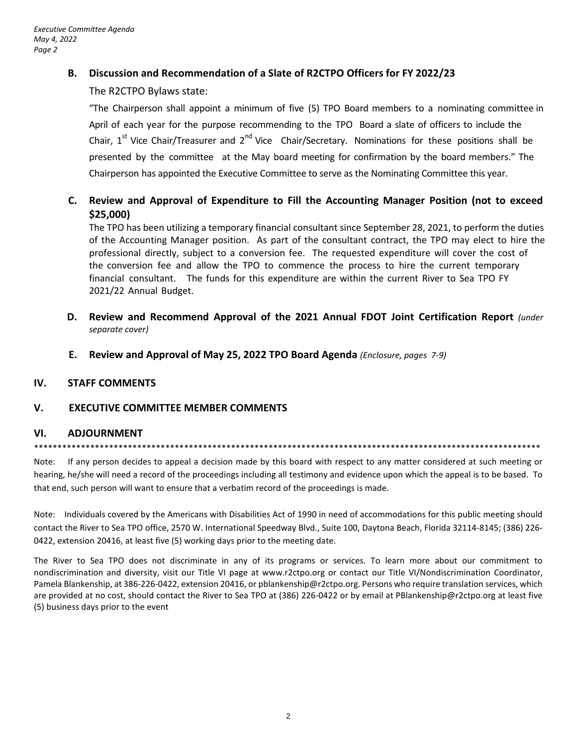### **B. Discussion and Recommendation of a Slate of R2CTPO Officers for FY 2022/23**

#### The R2CTPO Bylaws state:

"The Chairperson shall appoint a minimum of five (5) TPO Board members to a nominating committee in April of each year for the purpose recommending to the TPO Board a slate of officers to include the Chair, 1<sup>st</sup> Vice Chair/Treasurer and 2<sup>nd</sup> Vice Chair/Secretary. Nominations for these positions shall be presented by the committee at the May board meeting for confirmation by the board members." The Chairperson has appointed the Executive Committee to serve as the Nominating Committee this year.

## **C. Review and Approval of Expenditure to Fill the Accounting Manager Position (not to exceed \$25,000)**

The TPO has been utilizing a temporary financial consultant since September 28, 2021, to perform the duties of the Accounting Manager position. As part of the consultant contract, the TPO may elect to hire the professional directly, subject to a conversion fee. The requested expenditure will cover the cost of the conversion fee and allow the TPO to commence the process to hire the current temporary financial consultant. The funds for this expenditure are within the current River to Sea TPO FY 2021/22 Annual Budget.

- **D. Review and Recommend Approval of the 2021 Annual FDOT Joint Certification Report** *(under separate cover)*
- **E. Review and Approval of May 25, 2022 TPO Board Agenda** *(Enclosure, pages 7-9)*

#### **IV. STAFF COMMENTS**

#### **V. EXECUTIVE COMMITTEE MEMBER COMMENTS**

#### **VI. ADJOURNMENT**

#### \*\*\*\*\*\*\*\*\*\*\*\*\*\*\*\*\*\*\*\*\*\*\*\*\*\*\*\*\*\*\*\*\*\*\*\*\*\*\*\*\*\*\*\*\*\*\*\*\*\*\*\*\*\*\*\*\*\*\*\*\*\*\*\*\*\*\*\*\*\*\*\*\*\*\*\*\*\*\*\*\*\*\*\*\*\*\*\*\*\*\*\*\*\*\*\*\*\*\*\*\*\*\*\*\*\*\*\*

Note: If any person decides to appeal a decision made by this board with respect to any matter considered at such meeting or hearing, he/she will need a record of the proceedings including all testimony and evidence upon which the appeal is to be based. To that end, such person will want to ensure that a verbatim record of the proceedings is made.

Note: Individuals covered by the Americans with Disabilities Act of 1990 in need of accommodations for this public meeting should contact the River to Sea TPO office, 2570 W. International Speedway Blvd., Suite 100, Daytona Beach, Florida 32114-8145; (386) 226- 0422, extension 20416, at least five (5) working days prior to the meeting date.

The River to Sea TPO does not discriminate in any of its programs or services. To learn more about our commitment to nondiscrimination and diversity, visit our Title VI page at www.r2ctpo.org or contact our Title VI/Nondiscrimination Coordinator, Pamela Blankenship, at 386-226-0422, extension 20416, or pblankenship@r2ctpo.org. Persons who require translation services, which are provided at no cost, should contact the River to Sea TPO at (386) 226-0422 or by email at PBlankenship@r2ctpo.org at least five (5) business days prior to the event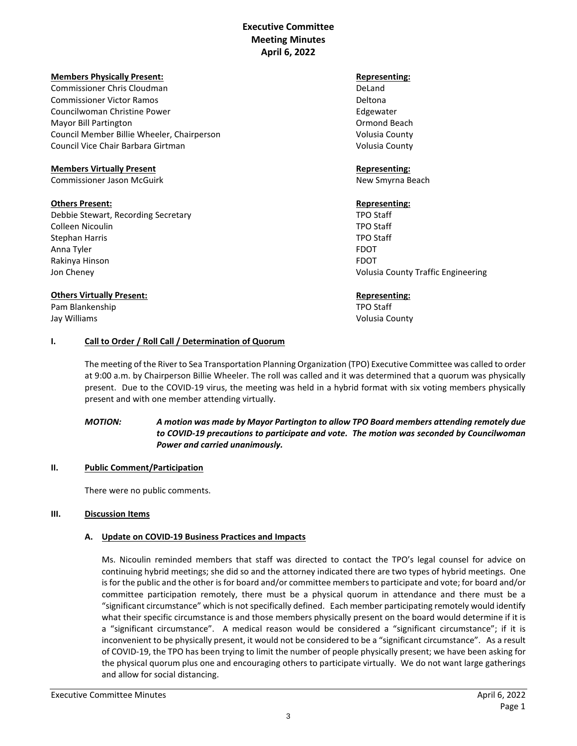### **Executive Committee Meeting Minutes April 6, 2022**

#### **Members Physically Present:**  $\blacksquare$

Commissioner Chris Cloudman DeLand Commissioner Victor Ramos Deltona Councilwoman Christine Power **Edgewater** Edgewater Mayor Bill Partington **Ormond Beach** Ormond Beach Council Member Billie Wheeler, Chairperson Volusia County Council Vice Chair Barbara Girtman Volusia County

#### **Members Virtually Present Representing:**

Commissioner Jason McGuirk New Smyrna Beach

#### **Others Present: Representing: Representing: Representing: Representing: Representing: Representing: Representing: Representing: Representing: Representing: Representing: Representing: Representin**

Debbie Stewart, Recording Secretary TPO Staff Colleen Nicoulin TPO Staff Stephan Harris **TPO Staff** Anna Tyler FDOT Rakinya Hinson FDOT Jon Cheney Volusia County Traffic Engineering

#### **Others Virtually Present: Constant Constant Constant Constant Constant Constant Constant Constant Constant Constant Constant Constant Constant Constant Constant Constant Constant Constant Constant Constant Constant Cons**

Pam Blankenship TPO Staff

Jay Williams Volusia County

#### **I. Call to Order / Roll Call / Determination of Quorum**

The meeting of the River to Sea Transportation Planning Organization (TPO) Executive Committee was called to order at 9:00 a.m. by Chairperson Billie Wheeler. The roll was called and it was determined that a quorum was physically present. Due to the COVID-19 virus, the meeting was held in a hybrid format with six voting members physically present and with one member attending virtually.

#### *MOTION: A motion was made by Mayor Partington to allow TPO Board members attending remotely due to COVID-19 precautions to participate and vote. The motion was seconded by Councilwoman Power and carried unanimously.*

#### **II. Public Comment/Participation**

There were no public comments.

#### **III. Discussion Items**

#### **A. Update on COVID-19 Business Practices and Impacts**

Ms. Nicoulin reminded members that staff was directed to contact the TPO's legal counsel for advice on continuing hybrid meetings; she did so and the attorney indicated there are two types of hybrid meetings. One is for the public and the other is for board and/or committee members to participate and vote; for board and/or committee participation remotely, there must be a physical quorum in attendance and there must be a "significant circumstance" which is not specifically defined. Each member participating remotely would identify what their specific circumstance is and those members physically present on the board would determine if it is a "significant circumstance". A medical reason would be considered a "significant circumstance"; if it is inconvenient to be physically present, it would not be considered to be a "significant circumstance". As a result of COVID-19, the TPO has been trying to limit the number of people physically present; we have been asking for the physical quorum plus one and encouraging others to participate virtually. We do not want large gatherings and allow for social distancing.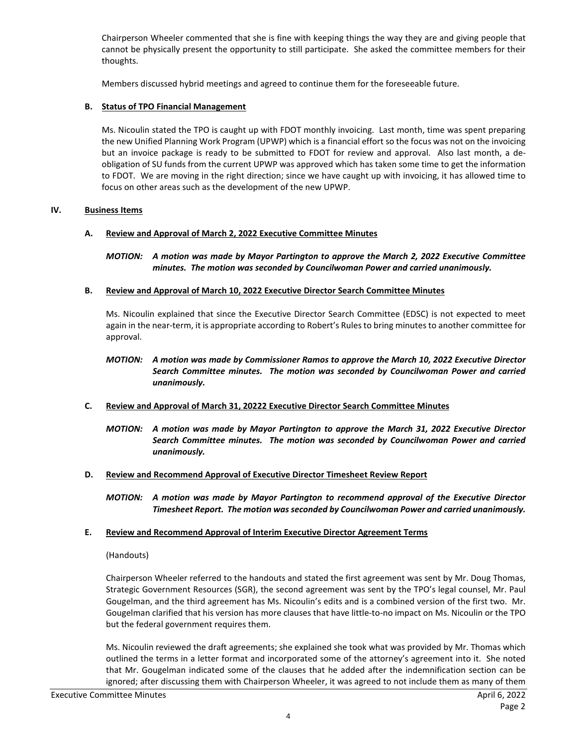Chairperson Wheeler commented that she is fine with keeping things the way they are and giving people that cannot be physically present the opportunity to still participate. She asked the committee members for their thoughts.

Members discussed hybrid meetings and agreed to continue them for the foreseeable future.

#### **B. Status of TPO Financial Management**

Ms. Nicoulin stated the TPO is caught up with FDOT monthly invoicing. Last month, time was spent preparing the new Unified Planning Work Program (UPWP) which is a financial effort so the focus was not on the invoicing but an invoice package is ready to be submitted to FDOT for review and approval. Also last month, a deobligation of SU funds from the current UPWP was approved which has taken some time to get the information to FDOT. We are moving in the right direction; since we have caught up with invoicing, it has allowed time to focus on other areas such as the development of the new UPWP.

#### **IV. Business Items**

#### **A. Review and Approval of March 2, 2022 Executive Committee Minutes**

*MOTION: A motion was made by Mayor Partington to approve the March 2, 2022 Executive Committee minutes. The motion was seconded by Councilwoman Power and carried unanimously.* 

#### **B. Review and Approval of March 10, 2022 Executive Director Search Committee Minutes**

Ms. Nicoulin explained that since the Executive Director Search Committee (EDSC) is not expected to meet again in the near-term, it is appropriate according to Robert's Rules to bring minutes to another committee for approval.

#### *MOTION: A motion was made by Commissioner Ramos to approve the March 10, 2022 Executive Director Search Committee minutes. The motion was seconded by Councilwoman Power and carried unanimously.*

#### **C. Review and Approval of March 31, 20222 Executive Director Search Committee Minutes**

*MOTION: A motion was made by Mayor Partington to approve the March 31, 2022 Executive Director Search Committee minutes. The motion was seconded by Councilwoman Power and carried unanimously.* 

#### **D. Review and Recommend Approval of Executive Director Timesheet Review Report**

*MOTION: A motion was made by Mayor Partington to recommend approval of the Executive Director Timesheet Report. The motion was seconded by Councilwoman Power and carried unanimously.* 

#### **E. Review and Recommend Approval of Interim Executive Director Agreement Terms**

#### (Handouts)

Chairperson Wheeler referred to the handouts and stated the first agreement was sent by Mr. Doug Thomas, Strategic Government Resources (SGR), the second agreement was sent by the TPO's legal counsel, Mr. Paul Gougelman, and the third agreement has Ms. Nicoulin's edits and is a combined version of the first two. Mr. Gougelman clarified that his version has more clauses that have little-to-no impact on Ms. Nicoulin or the TPO but the federal government requires them.

Ms. Nicoulin reviewed the draft agreements; she explained she took what was provided by Mr. Thomas which outlined the terms in a letter format and incorporated some of the attorney's agreement into it. She noted that Mr. Gougelman indicated some of the clauses that he added after the indemnification section can be ignored; after discussing them with Chairperson Wheeler, it was agreed to not include them as many of them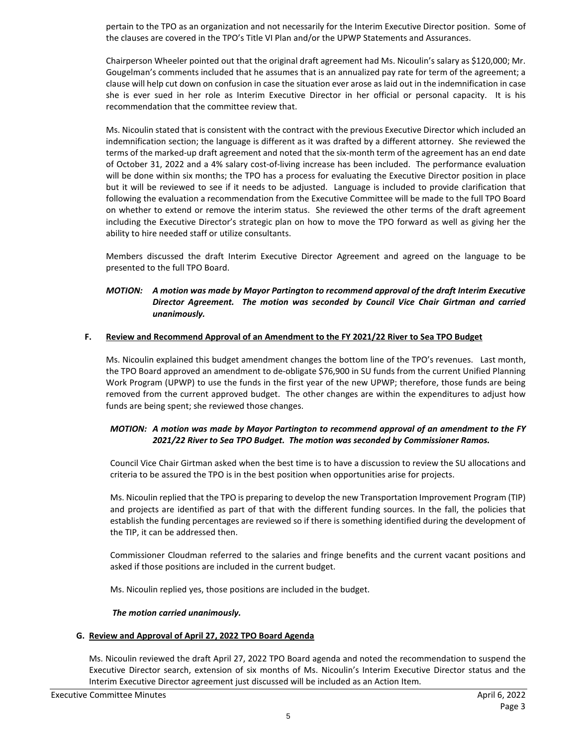pertain to the TPO as an organization and not necessarily for the Interim Executive Director position. Some of the clauses are covered in the TPO's Title VI Plan and/or the UPWP Statements and Assurances.

Chairperson Wheeler pointed out that the original draft agreement had Ms. Nicoulin's salary as \$120,000; Mr. Gougelman's comments included that he assumes that is an annualized pay rate for term of the agreement; a clause will help cut down on confusion in case the situation ever arose as laid out in the indemnification in case she is ever sued in her role as Interim Executive Director in her official or personal capacity. It is his recommendation that the committee review that.

Ms. Nicoulin stated that is consistent with the contract with the previous Executive Director which included an indemnification section; the language is different as it was drafted by a different attorney. She reviewed the terms of the marked-up draft agreement and noted that the six-month term of the agreement has an end date of October 31, 2022 and a 4% salary cost-of-living increase has been included. The performance evaluation will be done within six months; the TPO has a process for evaluating the Executive Director position in place but it will be reviewed to see if it needs to be adjusted. Language is included to provide clarification that following the evaluation a recommendation from the Executive Committee will be made to the full TPO Board on whether to extend or remove the interim status. She reviewed the other terms of the draft agreement including the Executive Director's strategic plan on how to move the TPO forward as well as giving her the ability to hire needed staff or utilize consultants.

Members discussed the draft Interim Executive Director Agreement and agreed on the language to be presented to the full TPO Board.

#### *MOTION: A motion was made by Mayor Partington to recommend approval of the draft Interim Executive Director Agreement. The motion was seconded by Council Vice Chair Girtman and carried unanimously.*

#### **F. Review and Recommend Approval of an Amendment to the FY 2021/22 River to Sea TPO Budget**

Ms. Nicoulin explained this budget amendment changes the bottom line of the TPO's revenues. Last month, the TPO Board approved an amendment to de-obligate \$76,900 in SU funds from the current Unified Planning Work Program (UPWP) to use the funds in the first year of the new UPWP; therefore, those funds are being removed from the current approved budget. The other changes are within the expenditures to adjust how funds are being spent; she reviewed those changes.

#### *MOTION: A motion was made by Mayor Partington to recommend approval of an amendment to the FY 2021/22 River to Sea TPO Budget. The motion was seconded by Commissioner Ramos.*

Council Vice Chair Girtman asked when the best time is to have a discussion to review the SU allocations and criteria to be assured the TPO is in the best position when opportunities arise for projects.

Ms. Nicoulin replied that the TPO is preparing to develop the new Transportation Improvement Program (TIP) and projects are identified as part of that with the different funding sources. In the fall, the policies that establish the funding percentages are reviewed so if there is something identified during the development of the TIP, it can be addressed then.

Commissioner Cloudman referred to the salaries and fringe benefits and the current vacant positions and asked if those positions are included in the current budget.

Ms. Nicoulin replied yes, those positions are included in the budget.

#### *The motion carried unanimously.*

#### **G. Review and Approval of April 27, 2022 TPO Board Agenda**

Ms. Nicoulin reviewed the draft April 27, 2022 TPO Board agenda and noted the recommendation to suspend the Executive Director search, extension of six months of Ms. Nicoulin's Interim Executive Director status and the Interim Executive Director agreement just discussed will be included as an Action Item.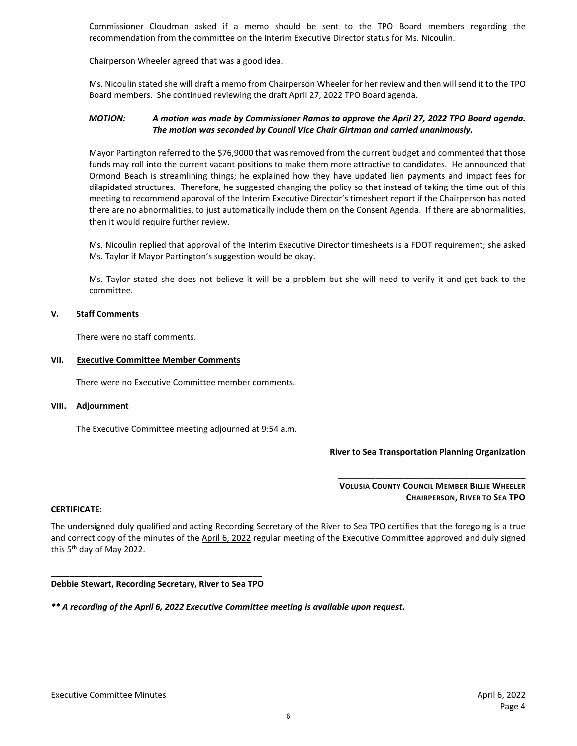Commissioner Cloudman asked if a memo should be sent to the TPO Board members regarding the recommendation from the committee on the Interim Executive Director status for Ms. Nicoulin.

Chairperson Wheeler agreed that was a good idea.

Ms. Nicoulin stated she will draft a memo from Chairperson Wheeler for her review and then will send it to the TPO Board members. She continued reviewing the draft April 27, 2022 TPO Board agenda.

#### *MOTION: A motion was made by Commissioner Ramos to approve the April 27, 2022 TPO Board agenda. The motion was seconded by Council Vice Chair Girtman and carried unanimously.*

Mayor Partington referred to the \$76,9000 that was removed from the current budget and commented that those funds may roll into the current vacant positions to make them more attractive to candidates. He announced that Ormond Beach is streamlining things; he explained how they have updated lien payments and impact fees for dilapidated structures. Therefore, he suggested changing the policy so that instead of taking the time out of this meeting to recommend approval of the Interim Executive Director's timesheet report if the Chairperson has noted there are no abnormalities, to just automatically include them on the Consent Agenda. If there are abnormalities, then it would require further review.

Ms. Nicoulin replied that approval of the Interim Executive Director timesheets is a FDOT requirement; she asked Ms. Taylor if Mayor Partington's suggestion would be okay.

Ms. Taylor stated she does not believe it will be a problem but she will need to verify it and get back to the committee.

#### **V. Staff Comments**

There were no staff comments.

#### **VII. Executive Committee Member Comments**

There were no Executive Committee member comments.

#### **VIII. Adjournment**

The Executive Committee meeting adjourned at 9:54 a.m.

#### **River to Sea Transportation Planning Organization**

#### \_\_\_\_\_\_\_\_\_\_\_\_\_\_\_\_\_\_\_\_\_\_\_\_\_\_\_\_\_\_\_\_\_\_\_\_\_\_\_\_ **VOLUSIA COUNTY COUNCIL MEMBER BILLIE WHEELER CHAIRPERSON, RIVER TO SEA TPO**

#### **CERTIFICATE:**

The undersigned duly qualified and acting Recording Secretary of the River to Sea TPO certifies that the foregoing is a true and correct copy of the minutes of the April 6, 2022 regular meeting of the Executive Committee approved and duly signed this  $5<sup>th</sup>$  day of May 2022.

#### **\_\_\_\_\_\_\_\_\_\_\_\_\_\_\_\_\_\_\_\_\_\_\_\_\_\_\_\_\_\_\_\_\_\_\_\_\_\_\_\_\_\_\_\_\_ Debbie Stewart, Recording Secretary, River to Sea TPO**

*\*\* A recording of the April 6, 2022 Executive Committee meeting is available upon request.*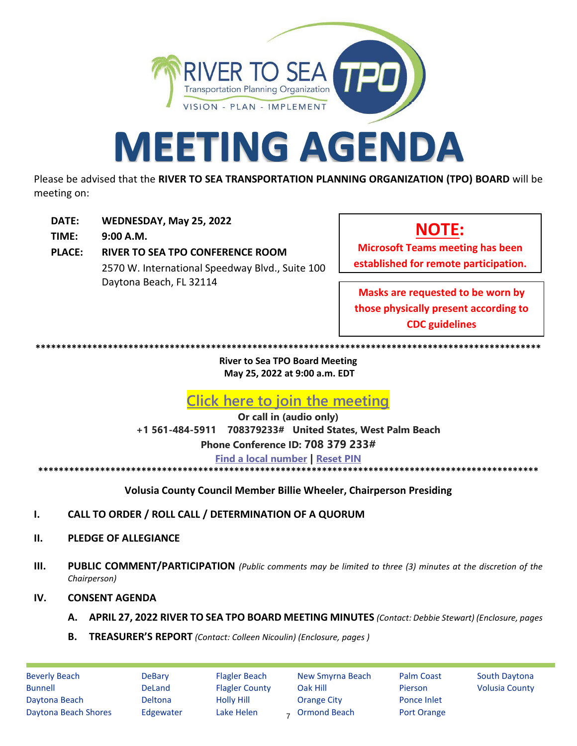

# **MEETING AGENDA**

Please be advised that the **RIVER TO SEA TRANSPORTATION PLANNING ORGANIZATION (TPO) BOARD** will be meeting on:

- **DATE: WEDNESDAY, May 25, 2022**
- **TIME: 9:00 A.M.**
- **PLACE: RIVER TO SEA TPO CONFERENCE ROOM** 2570 W. International Speedway Blvd., Suite 100 Daytona Beach, FL 32114

## **NOTE:**

**Microsoft Teams meeting has been established for remote participation.**

**Masks are requested to be worn by those physically present according to CDC guidelines**

**\*\*\*\*\*\*\*\*\*\*\*\*\*\*\*\*\*\*\*\*\*\*\*\*\*\*\*\*\*\*\*\*\*\*\*\*\*\*\*\*\*\*\*\*\*\*\*\*\*\*\*\*\*\*\*\*\*\*\*\*\*\*\*\*\*\*\*\*\*\*\*\*\*\*\*\*\*\*\*\*\*\*\*\*\*\*\*\*\*\*\*\*\*\*\*\*\*\***

**River to Sea TPO Board Meeting May 25, 2022 at 9:00 a.m. EDT** 

**[Click here to join the meeting](https://teams.microsoft.com/l/meetup-join/19%3ameeting_YjgxMDE5M2QtYjliMS00YWQzLTg3MjAtMDI4MDNmMzIyNzU5%40thread.v2/0?context=%7b%22Tid%22%3a%22d5f4bfa4-fe50-42f9-af2c-96701c15da1c%22%2c%22Oid%22%3a%22d51a8b9b-dd47-4eff-a5f0-25a5d28255cd%22%7d)**

**Or call in (audio only) +1 561-484-5911 708379233# United States, West Palm Beach Phone Conference ID: 708 379 233# [Find a local number](https://dialin.teams.microsoft.com/77605b64-9f58-4d90-a096-cdcdc34b47d2?id=877749333) | [Reset PIN](https://mysettings.lync.com/pstnconferencing)** \*\*\*\*\*\*\*\*\*\*\*\*\*\*\*\*\*\*\*\*\*\*\*\*\*\*\*\*\*\*\*

**Volusia County Council Member Billie Wheeler, Chairperson Presiding**

- **I. CALL TO ORDER / ROLL CALL / DETERMINATION OF A QUORUM**
- **II. PLEDGE OF ALLEGIANCE**
- **III. PUBLIC COMMENT/PARTICIPATION** *(Public comments may be limited to three (3) minutes at the discretion of the Chairperson)*

#### **IV. CONSENT AGENDA**

- **A. APRIL 27, 2022 RIVER TO SEA TPO BOARD MEETING MINUTES** *(Contact: Debbie Stewart) (Enclosure, pages*
- **B. TREASURER'S REPORT** *(Contact: Colleen Nicoulin) (Enclosure, pages )*

Beverly Beach DeBary Flagler Beach New Smyrna Beach Palm Coast South Daytona Bunnell **Sound Bunnell** DeLand Flagler County Oak Hill **Pierson** Volusia County Daytona Beach Deltona Holly Hill Orange City Ponce Inlet Daytona Beach Shores Edgewater Lake Helen - Ormond Beach Port Orange <sub>7</sub> Ormond Beach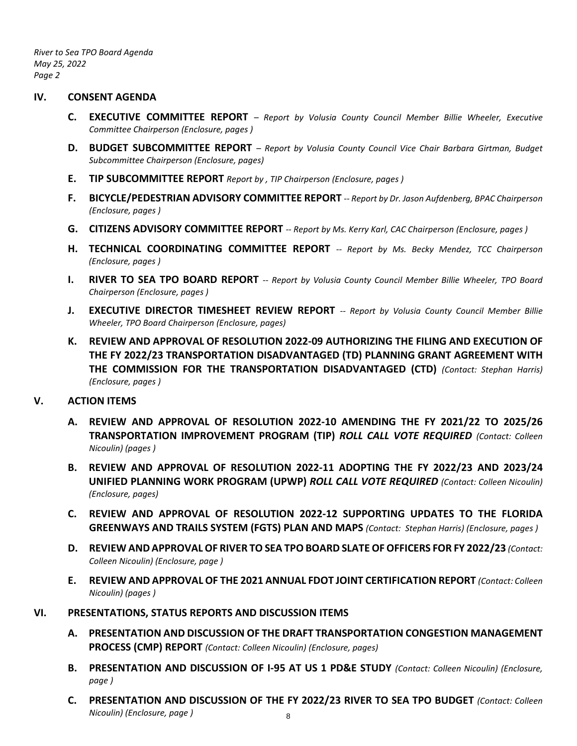*River to Sea TPO Board Agenda May 25, 2022 Page 2*

#### **IV. CONSENT AGENDA**

- **C. EXECUTIVE COMMITTEE REPORT**  *Report by Volusia County Council Member Billie Wheeler, Executive Committee Chairperson (Enclosure, pages )*
- **D. BUDGET SUBCOMMITTEE REPORT**  *Report by Volusia County Council Vice Chair Barbara Girtman, Budget Subcommittee Chairperson (Enclosure, pages)*
- **E. TIP SUBCOMMITTEE REPORT** *Report by , TIP Chairperson (Enclosure, pages )*
- **F. BICYCLE/PEDESTRIAN ADVISORY COMMITTEE REPORT** *-- Report by Dr. Jason Aufdenberg, BPAC Chairperson (Enclosure, pages )*
- **G. CITIZENS ADVISORY COMMITTEE REPORT** *-- Report by Ms. Kerry Karl, CAC Chairperson (Enclosure, pages )*
- **H. TECHNICAL COORDINATING COMMITTEE REPORT** *-- Report by Ms. Becky Mendez, TCC Chairperson (Enclosure, pages )*
- **I. RIVER TO SEA TPO BOARD REPORT** *-- Report by Volusia County Council Member Billie Wheeler, TPO Board Chairperson (Enclosure, pages )*
- **J. EXECUTIVE DIRECTOR TIMESHEET REVIEW REPORT** *-- Report by Volusia County Council Member Billie Wheeler, TPO Board Chairperson (Enclosure, pages)*
- **K. REVIEW AND APPROVAL OF RESOLUTION 2022-09 AUTHORIZING THE FILING AND EXECUTION OF THE FY 2022/23 TRANSPORTATION DISADVANTAGED (TD) PLANNING GRANT AGREEMENT WITH THE COMMISSION FOR THE TRANSPORTATION DISADVANTAGED (CTD)** *(Contact: Stephan Harris) (Enclosure, pages )*

#### **V. ACTION ITEMS**

- **A. REVIEW AND APPROVAL OF RESOLUTION 2022-10 AMENDING THE FY 2021/22 TO 2025/26 TRANSPORTATION IMPROVEMENT PROGRAM (TIP)** *ROLL CALL VOTE REQUIRED (Contact: Colleen Nicoulin) (pages )*
- **B. REVIEW AND APPROVAL OF RESOLUTION 2022-11 ADOPTING THE FY 2022/23 AND 2023/24 UNIFIED PLANNING WORK PROGRAM (UPWP)** *ROLL CALL VOTE REQUIRED (Contact: Colleen Nicoulin) (Enclosure, pages)*
- **C. REVIEW AND APPROVAL OF RESOLUTION 2022-12 SUPPORTING UPDATES TO THE FLORIDA GREENWAYS AND TRAILS SYSTEM (FGTS) PLAN AND MAPS** *(Contact: Stephan Harris) (Enclosure, pages )*
- **D. REVIEW AND APPROVAL OF RIVER TO SEA TPO BOARD SLATE OF OFFICERS FOR FY 2022/23** *(Contact: Colleen Nicoulin) (Enclosure, page )*
- **E. REVIEW AND APPROVAL OF THE 2021 ANNUAL FDOT JOINT CERTIFICATION REPORT** *(Contact: Colleen Nicoulin) (pages )*
- **VI. PRESENTATIONS, STATUS REPORTS AND DISCUSSION ITEMS** 
	- **A. PRESENTATION AND DISCUSSION OF THE DRAFT TRANSPORTATION CONGESTION MANAGEMENT PROCESS (CMP) REPORT** *(Contact: Colleen Nicoulin) (Enclosure, pages)*
	- **B. PRESENTATION AND DISCUSSION OF I-95 AT US 1 PD&E STUDY** *(Contact: Colleen Nicoulin) (Enclosure, page )*
	- **C. PRESENTATION AND DISCUSSION OF THE FY 2022/23 RIVER TO SEA TPO BUDGET** *(Contact: Colleen Nicoulin) (Enclosure, page )* 8